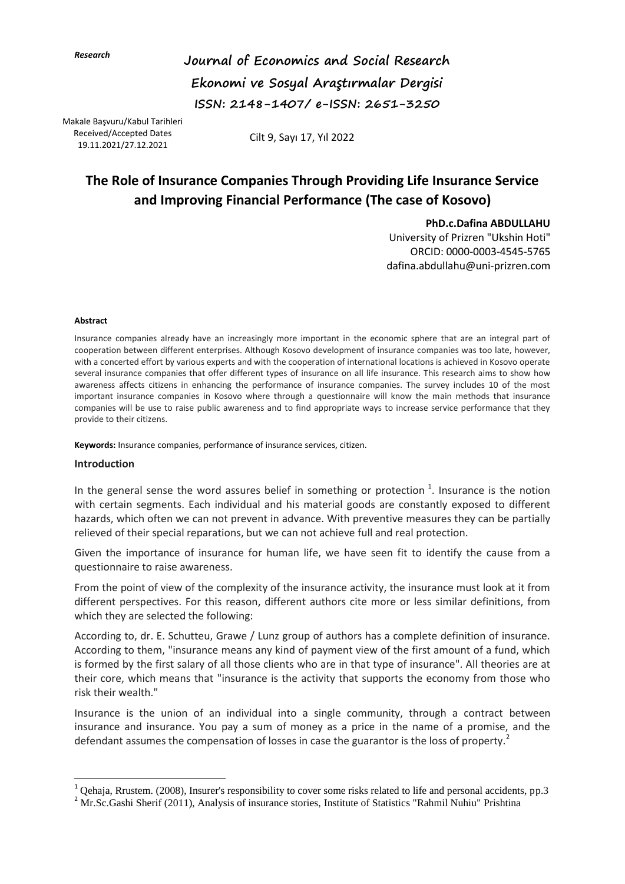*Research*

**Journal of Economics and Social Research Ekonomi ve Sosyal Araştırmalar Dergisi ISSN: 2148-1407/ e-ISSN: 2651-3250** 

Received/Accepted Dates Makale Başvuru/Kabul Tarihleri 19.11.2021/27.12.2021

Cilt 9, Sayı 17, Yıl 2022

# **The Role of Insurance Companies Through Providing Life Insurance Service and Improving Financial Performance (The case of Kosovo)**

**PhD.c.Dafina ABDULLAHU** 

University of Prizren "Ukshin Hoti" ORCID: 0000-0003-4545-5765 dafina.abdullahu@uni-prizren.com

#### **Abstract**

Insurance companies already have an increasingly more important in the economic sphere that are an integral part of cooperation between different enterprises. Although Kosovo development of insurance companies was too late, however, with a concerted effort by various experts and with the cooperation of international locations is achieved in Kosovo operate several insurance companies that offer different types of insurance on all life insurance. This research aims to show how awareness affects citizens in enhancing the performance of insurance companies. The survey includes 10 of the most important insurance companies in Kosovo where through a questionnaire will know the main methods that insurance companies will be use to raise public awareness and to find appropriate ways to increase service performance that they provide to their citizens.

**Keywords:** Insurance companies, performance of insurance services, citizen.

#### **Introduction**

 $\overline{a}$ 

In the general sense the word assures belief in something or protection  $1$ . Insurance is the notion with certain segments. Each individual and his material goods are constantly exposed to different hazards, which often we can not prevent in advance. With preventive measures they can be partially relieved of their special reparations, but we can not achieve full and real protection.

Given the importance of insurance for human life, we have seen fit to identify the cause from a questionnaire to raise awareness.

From the point of view of the complexity of the insurance activity, the insurance must look at it from different perspectives. For this reason, different authors cite more or less similar definitions, from which they are selected the following:

According to, dr. E. Schutteu, Grawe / Lunz group of authors has a complete definition of insurance. According to them, "insurance means any kind of payment view of the first amount of a fund, which is formed by the first salary of all those clients who are in that type of insurance". All theories are at their core, which means that "insurance is the activity that supports the economy from those who risk their wealth."

Insurance is the union of an individual into a single community, through a contract between insurance and insurance. You pay a sum of money as a price in the name of a promise, and the defendant assumes the compensation of losses in case the guarantor is the loss of property.<sup>2</sup>

<sup>&</sup>lt;sup>1</sup> Qehaja, Rrustem. (2008), Insurer's responsibility to cover some risks related to life and personal accidents, pp.3

 $2\text{ Mr.}$ Sc.Gashi Sherif (2011), Analysis of insurance stories, Institute of Statistics "Rahmil Nuhiu" Prishtina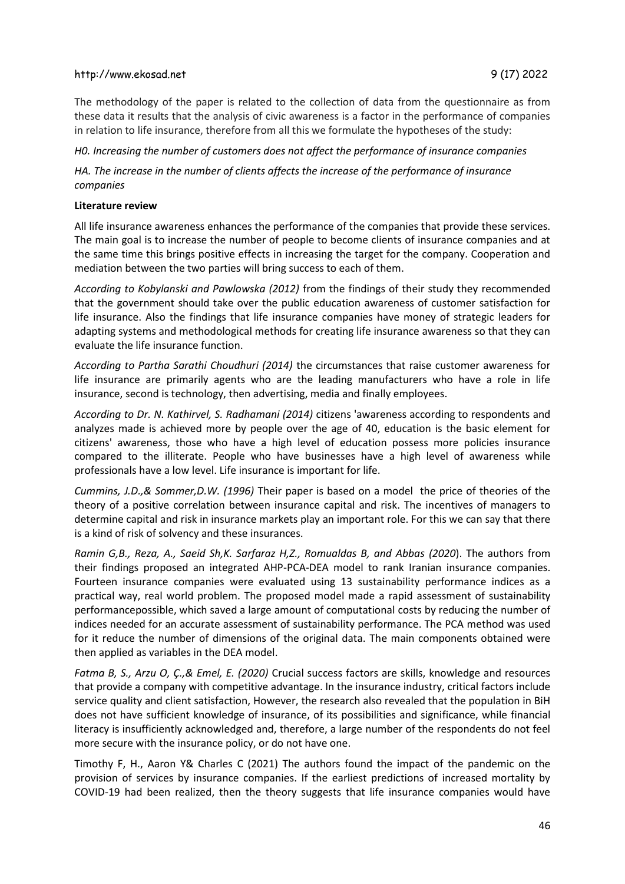The methodology of the paper is related to the collection of data from the questionnaire as from these data it results that the analysis of civic awareness is a factor in the performance of companies in relation to life insurance, therefore from all this we formulate the hypotheses of the study:

*H0. Increasing the number of customers does not affect the performance of insurance companies*

*HA. The increase in the number of clients affects the increase of the performance of insurance companies*

#### **Literature review**

All life insurance awareness enhances the performance of the companies that provide these services. The main goal is to increase the number of people to become clients of insurance companies and at the same time this brings positive effects in increasing the target for the company. Cooperation and mediation between the two parties will bring success to each of them.

*According to Kobylanski and Pawlowska (2012)* from the findings of their study they recommended that the government should take over the public education awareness of customer satisfaction for life insurance. Also the findings that life insurance companies have money of strategic leaders for adapting systems and methodological methods for creating life insurance awareness so that they can evaluate the life insurance function.

*According to Partha Sarathi Choudhuri (2014)* the circumstances that raise customer awareness for life insurance are primarily agents who are the leading manufacturers who have a role in life insurance, second is technology, then advertising, media and finally employees.

*According to Dr. N. Kathirvel, S. Radhamani (2014)* citizens 'awareness according to respondents and analyzes made is achieved more by people over the age of 40, education is the basic element for citizens' awareness, those who have a high level of education possess more policies insurance compared to the illiterate. People who have businesses have a high level of awareness while professionals have a low level. Life insurance is important for life.

*Cummins, J.D.,& Sommer,D.W. (1996)* Their paper is based on a model the price of theories of the theory of a positive correlation between insurance capital and risk. The incentives of managers to determine capital and risk in insurance markets play an important role. For this we can say that there is a kind of risk of solvency and these insurances.

*Ramin G,B., Reza, A., Saeid Sh,K. Sarfaraz H,Z., Romualdas B, and Abbas (2020*). The authors from their findings proposed an integrated AHP-PCA-DEA model to rank Iranian insurance companies. Fourteen insurance companies were evaluated using 13 sustainability performance indices as a practical way, real world problem. The proposed model made a rapid assessment of sustainability performancepossible, which saved a large amount of computational costs by reducing the number of indices needed for an accurate assessment of sustainability performance. The PCA method was used for it reduce the number of dimensions of the original data. The main components obtained were then applied as variables in the DEA model.

*Fatma B, S., Arzu O, Ç.,& Emel, E. (2020)* Crucial success factors are skills, knowledge and resources that provide a company with competitive advantage. In the insurance industry, critical factors include service quality and client satisfaction, However, the research also revealed that the population in BiH does not have sufficient knowledge of insurance, of its possibilities and significance, while financial literacy is insufficiently acknowledged and, therefore, a large number of the respondents do not feel more secure with the insurance policy, or do not have one.

Timothy F, H., Aaron Y& Charles C (2021) The authors found the impact of the pandemic on the provision of services by insurance companies. If the earliest predictions of increased mortality by COVID-19 had been realized, then the theory suggests that life insurance companies would have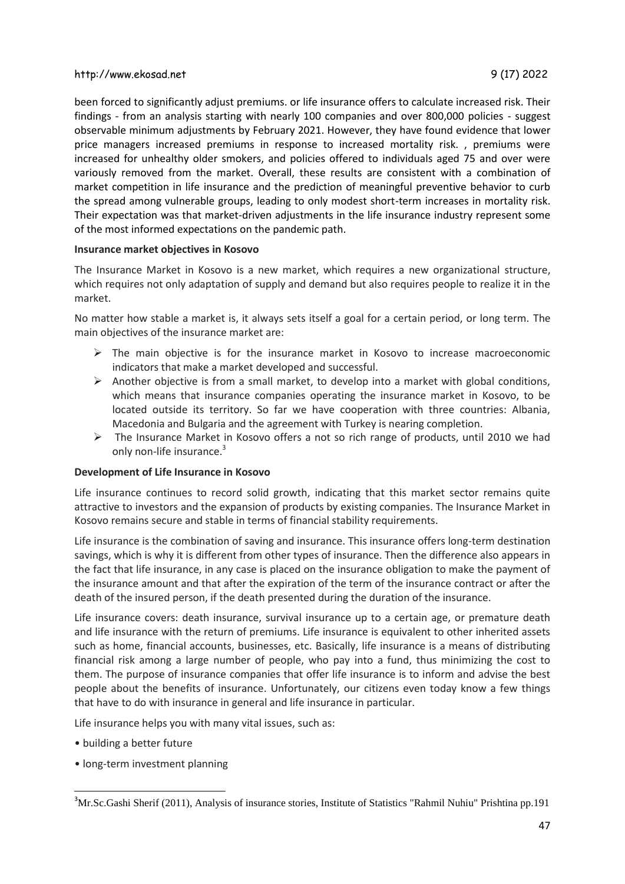been forced to significantly adjust premiums. or life insurance offers to calculate increased risk. Their findings - from an analysis starting with nearly 100 companies and over 800,000 policies - suggest observable minimum adjustments by February 2021. However, they have found evidence that lower price managers increased premiums in response to increased mortality risk. , premiums were increased for unhealthy older smokers, and policies offered to individuals aged 75 and over were variously removed from the market. Overall, these results are consistent with a combination of market competition in life insurance and the prediction of meaningful preventive behavior to curb the spread among vulnerable groups, leading to only modest short-term increases in mortality risk. Their expectation was that market-driven adjustments in the life insurance industry represent some of the most informed expectations on the pandemic path.

#### **Insurance market objectives in Kosovo**

The Insurance Market in Kosovo is a new market, which requires a new organizational structure, which requires not only adaptation of supply and demand but also requires people to realize it in the market.

No matter how stable a market is, it always sets itself a goal for a certain period, or long term. The main objectives of the insurance market are:

- $\triangleright$  The main objective is for the insurance market in Kosovo to increase macroeconomic indicators that make a market developed and successful.
- $\triangleright$  Another objective is from a small market, to develop into a market with global conditions, which means that insurance companies operating the insurance market in Kosovo, to be located outside its territory. So far we have cooperation with three countries: Albania, Macedonia and Bulgaria and the agreement with Turkey is nearing completion.
- $\triangleright$  The Insurance Market in Kosovo offers a not so rich range of products, until 2010 we had only non-life insurance.<sup>3</sup>

#### **Development of Life Insurance in Kosovo**

Life insurance continues to record solid growth, indicating that this market sector remains quite attractive to investors and the expansion of products by existing companies. The Insurance Market in Kosovo remains secure and stable in terms of financial stability requirements.

Life insurance is the combination of saving and insurance. This insurance offers long-term destination savings, which is why it is different from other types of insurance. Then the difference also appears in the fact that life insurance, in any case is placed on the insurance obligation to make the payment of the insurance amount and that after the expiration of the term of the insurance contract or after the death of the insured person, if the death presented during the duration of the insurance.

Life insurance covers: death insurance, survival insurance up to a certain age, or premature death and life insurance with the return of premiums. Life insurance is equivalent to other inherited assets such as home, financial accounts, businesses, etc. Basically, life insurance is a means of distributing financial risk among a large number of people, who pay into a fund, thus minimizing the cost to them. The purpose of insurance companies that offer life insurance is to inform and advise the best people about the benefits of insurance. Unfortunately, our citizens even today know a few things that have to do with insurance in general and life insurance in particular.

Life insurance helps you with many vital issues, such as:

• building a better future

 $\overline{\phantom{a}}$ 

• long-term investment planning

<sup>&</sup>lt;sup>3</sup>Mr.Sc.Gashi Sherif (2011), Analysis of insurance stories, Institute of Statistics "Rahmil Nuhiu" Prishtina pp.191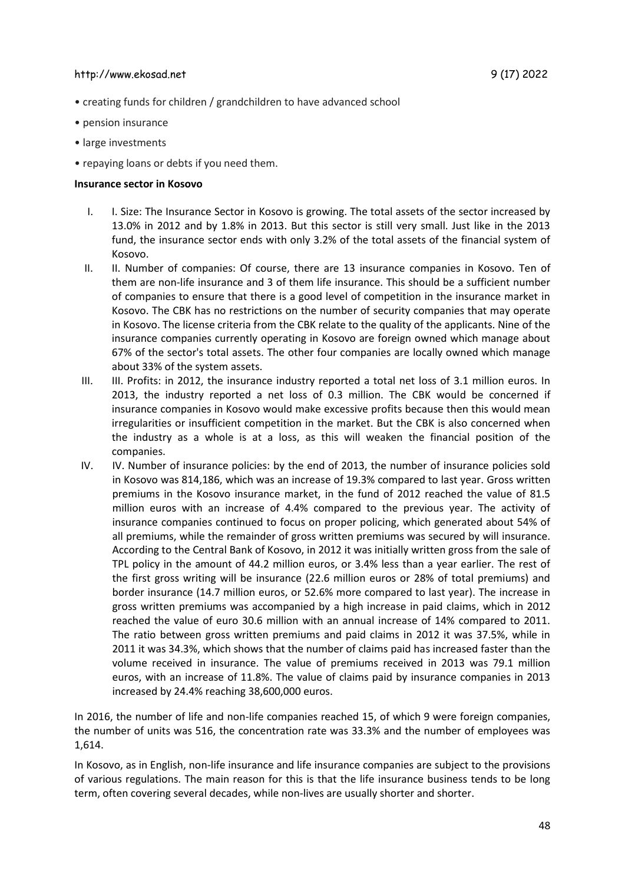- creating funds for children / grandchildren to have advanced school
- pension insurance
- large investments
- repaying loans or debts if you need them.

#### **Insurance sector in Kosovo**

- I. I. Size: The Insurance Sector in Kosovo is growing. The total assets of the sector increased by 13.0% in 2012 and by 1.8% in 2013. But this sector is still very small. Just like in the 2013 fund, the insurance sector ends with only 3.2% of the total assets of the financial system of Kosovo.
- II. II. Number of companies: Of course, there are 13 insurance companies in Kosovo. Ten of them are non-life insurance and 3 of them life insurance. This should be a sufficient number of companies to ensure that there is a good level of competition in the insurance market in Kosovo. The CBK has no restrictions on the number of security companies that may operate in Kosovo. The license criteria from the CBK relate to the quality of the applicants. Nine of the insurance companies currently operating in Kosovo are foreign owned which manage about 67% of the sector's total assets. The other four companies are locally owned which manage about 33% of the system assets.
- III. III. Profits: in 2012, the insurance industry reported a total net loss of 3.1 million euros. In 2013, the industry reported a net loss of 0.3 million. The CBK would be concerned if insurance companies in Kosovo would make excessive profits because then this would mean irregularities or insufficient competition in the market. But the CBK is also concerned when the industry as a whole is at a loss, as this will weaken the financial position of the companies.
- IV. IV. Number of insurance policies: by the end of 2013, the number of insurance policies sold in Kosovo was 814,186, which was an increase of 19.3% compared to last year. Gross written premiums in the Kosovo insurance market, in the fund of 2012 reached the value of 81.5 million euros with an increase of 4.4% compared to the previous year. The activity of insurance companies continued to focus on proper policing, which generated about 54% of all premiums, while the remainder of gross written premiums was secured by will insurance. According to the Central Bank of Kosovo, in 2012 it was initially written gross from the sale of TPL policy in the amount of 44.2 million euros, or 3.4% less than a year earlier. The rest of the first gross writing will be insurance (22.6 million euros or 28% of total premiums) and border insurance (14.7 million euros, or 52.6% more compared to last year). The increase in gross written premiums was accompanied by a high increase in paid claims, which in 2012 reached the value of euro 30.6 million with an annual increase of 14% compared to 2011. The ratio between gross written premiums and paid claims in 2012 it was 37.5%, while in 2011 it was 34.3%, which shows that the number of claims paid has increased faster than the volume received in insurance. The value of premiums received in 2013 was 79.1 million euros, with an increase of 11.8%. The value of claims paid by insurance companies in 2013 increased by 24.4% reaching 38,600,000 euros.

In 2016, the number of life and non-life companies reached 15, of which 9 were foreign companies, the number of units was 516, the concentration rate was 33.3% and the number of employees was 1,614.

In Kosovo, as in English, non-life insurance and life insurance companies are subject to the provisions of various regulations. The main reason for this is that the life insurance business tends to be long term, often covering several decades, while non-lives are usually shorter and shorter.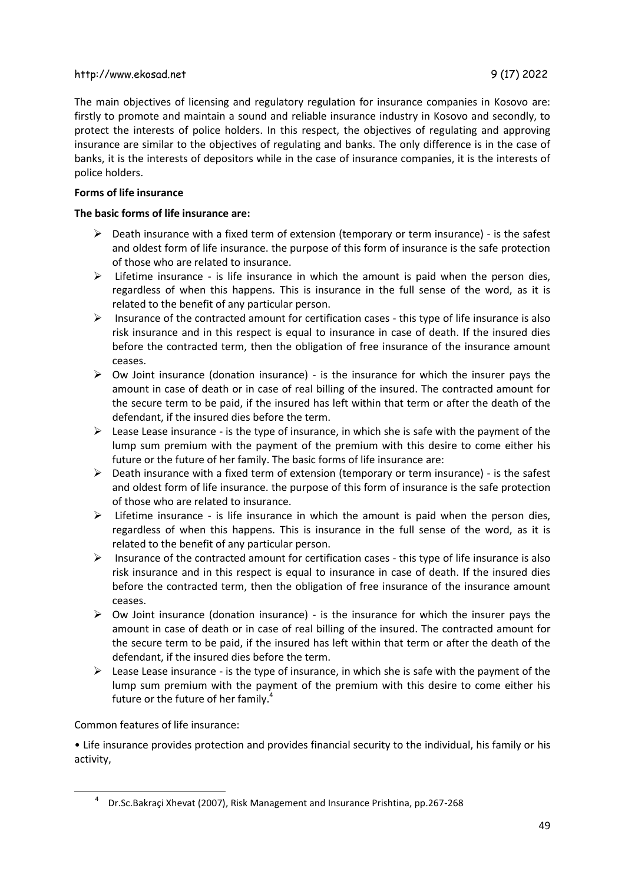The main objectives of licensing and regulatory regulation for insurance companies in Kosovo are: firstly to promote and maintain a sound and reliable insurance industry in Kosovo and secondly, to protect the interests of police holders. In this respect, the objectives of regulating and approving insurance are similar to the objectives of regulating and banks. The only difference is in the case of banks, it is the interests of depositors while in the case of insurance companies, it is the interests of police holders.

## **Forms of life insurance**

## **The basic forms of life insurance are:**

- $\triangleright$  Death insurance with a fixed term of extension (temporary or term insurance) is the safest and oldest form of life insurance. the purpose of this form of insurance is the safe protection of those who are related to insurance.
- $\triangleright$  Lifetime insurance is life insurance in which the amount is paid when the person dies, regardless of when this happens. This is insurance in the full sense of the word, as it is related to the benefit of any particular person.
- $\triangleright$  Insurance of the contracted amount for certification cases this type of life insurance is also risk insurance and in this respect is equal to insurance in case of death. If the insured dies before the contracted term, then the obligation of free insurance of the insurance amount ceases.
- $\triangleright$  Ow Joint insurance (donation insurance) is the insurance for which the insurer pays the amount in case of death or in case of real billing of the insured. The contracted amount for the secure term to be paid, if the insured has left within that term or after the death of the defendant, if the insured dies before the term.
- $\triangleright$  Lease Lease insurance is the type of insurance, in which she is safe with the payment of the lump sum premium with the payment of the premium with this desire to come either his future or the future of her family. The basic forms of life insurance are:
- $\triangleright$  Death insurance with a fixed term of extension (temporary or term insurance) is the safest and oldest form of life insurance. the purpose of this form of insurance is the safe protection of those who are related to insurance.
- $\triangleright$  Lifetime insurance is life insurance in which the amount is paid when the person dies, regardless of when this happens. This is insurance in the full sense of the word, as it is related to the benefit of any particular person.
- $\triangleright$  Insurance of the contracted amount for certification cases this type of life insurance is also risk insurance and in this respect is equal to insurance in case of death. If the insured dies before the contracted term, then the obligation of free insurance of the insurance amount ceases.
- $\triangleright$  Ow Joint insurance (donation insurance) is the insurance for which the insurer pays the amount in case of death or in case of real billing of the insured. The contracted amount for the secure term to be paid, if the insured has left within that term or after the death of the defendant, if the insured dies before the term.
- $\triangleright$  Lease Lease insurance is the type of insurance, in which she is safe with the payment of the lump sum premium with the payment of the premium with this desire to come either his future or the future of her family.<sup>4</sup>

Common features of life insurance:

 $\overline{\phantom{a}}$ 

• Life insurance provides protection and provides financial security to the individual, his family or his activity,

<sup>&</sup>lt;sup>4</sup> Dr.Sc.Bakraçi Xhevat (2007), Risk Management and Insurance Prishtina, pp.267-268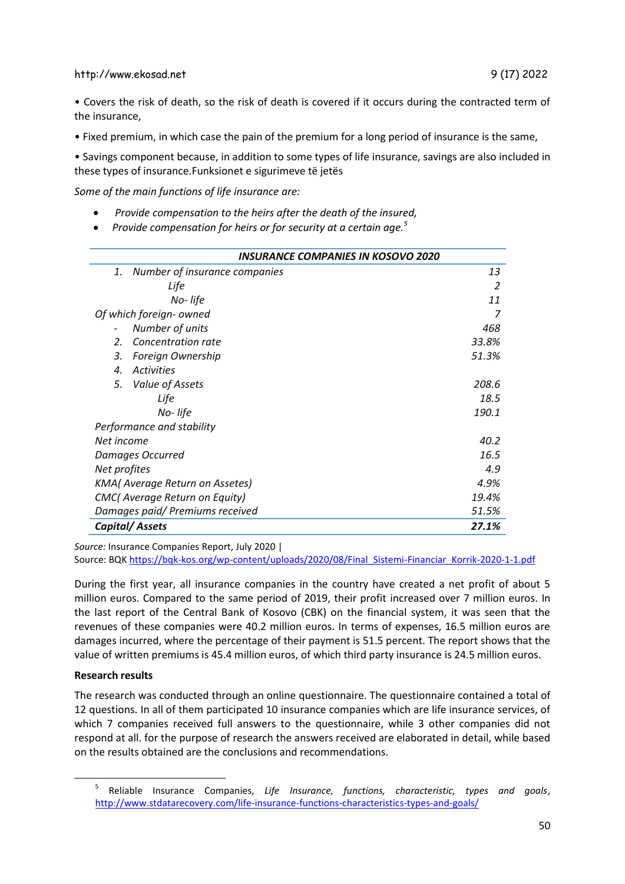• Covers the risk of death, so the risk of death is covered if it occurs during the contracted term of the insurance,

• Fixed premium, in which case the pain of the premium for a long period of insurance is the same,

• Savings component because, in addition to some types of life insurance, savings are also included in these types of insurance.Funksionet e sigurimeve të jetës

*Some of the main functions of life insurance are:*

- *Provide compensation to the heirs after the death of the insured,*
- *Provide compensation for heirs or for security at a certain age.<sup>5</sup>*

| <b>INSURANCE COMPANIES IN KOSOVO 2020</b> |       |
|-------------------------------------------|-------|
| Number of insurance companies<br>1.       | 13    |
| Life                                      | 2     |
| No-life                                   | 11    |
| Of which foreign- owned                   |       |
| Number of units                           | 468   |
| Concentration rate<br>$\mathcal{L}$       | 33.8% |
| Foreign Ownership<br>3.                   | 51.3% |
| <b>Activities</b><br>$\mathbf{A}$         |       |
| Value of Assets<br>5.                     | 208.6 |
| Life                                      | 18.5  |
| No-life                                   | 190.1 |
| Performance and stability                 |       |
| Net income                                | 40.2  |
| Damages Occurred                          | 16.5  |
| Net profites                              | 4.9   |
| <b>KMA</b> (Average Return on Assetes)    | 4.9%  |
| CMC(Average Return on Equity)             | 19.4% |
| Damages paid/ Premiums received           | 51.5% |
| <b>Capital/Assets</b>                     | 27.1% |

*Source:* Insurance Companies Report, July 2020 |

Source: BQK [https://bqk-kos.org/wp-content/uploads/2020/08/Final\\_Sistemi-Financiar\\_Korrik-2020-1-1.pdf](https://bqk-kos.org/wp-content/uploads/2020/08/Final_Sistemi-Financiar_Korrik-2020-1-1.pdf)

During the first year, all insurance companies in the country have created a net profit of about 5 million euros. Compared to the same period of 2019, their profit increased over 7 million euros. In the last report of the Central Bank of Kosovo (CBK) on the financial system, it was seen that the revenues of these companies were 40.2 million euros. In terms of expenses, 16.5 million euros are damages incurred, where the percentage of their payment is 51.5 percent. The report shows that the value of written premiums is 45.4 million euros, of which third party insurance is 24.5 million euros.

#### **Research results**

 $\overline{a}$ 

The research was conducted through an online questionnaire. The questionnaire contained a total of 12 questions. In all of them participated 10 insurance companies which are life insurance services, of which 7 companies received full answers to the questionnaire, while 3 other companies did not respond at all. for the purpose of research the answers received are elaborated in detail, while based on the results obtained are the conclusions and recommendations.

<sup>5</sup> Reliable Insurance Companies, *Life Insurance, functions, characteristic, types and goals*, <http://www.stdatarecovery.com/life-insurance-functions-characteristics-types-and-goals/>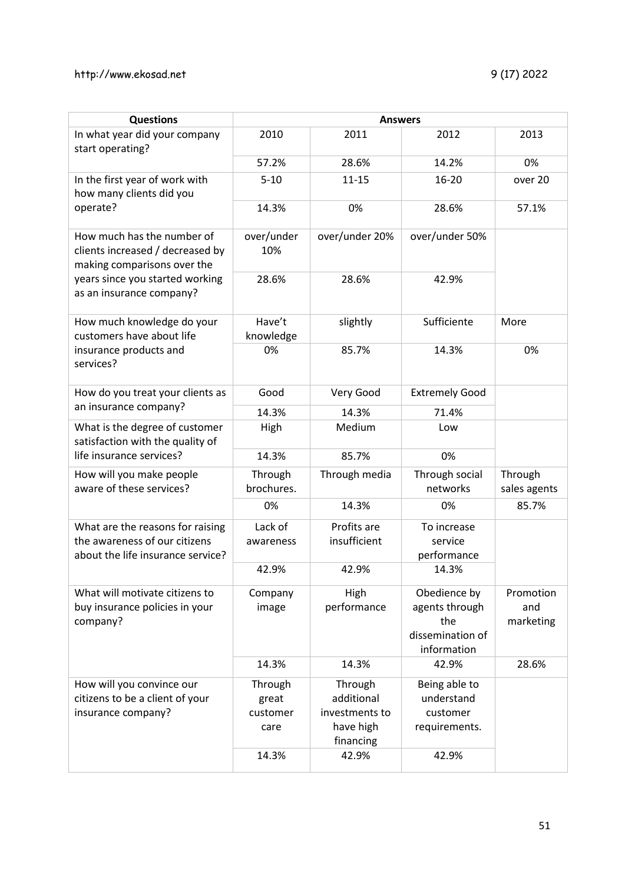| <b>Questions</b>                                                                                                                                             | <b>Answers</b>                                |                                                                            |                                                                          |                               |
|--------------------------------------------------------------------------------------------------------------------------------------------------------------|-----------------------------------------------|----------------------------------------------------------------------------|--------------------------------------------------------------------------|-------------------------------|
| In what year did your company<br>start operating?                                                                                                            | 2010                                          | 2011                                                                       | 2012                                                                     | 2013                          |
|                                                                                                                                                              | 57.2%                                         | 28.6%                                                                      | 14.2%                                                                    | 0%                            |
| In the first year of work with<br>how many clients did you<br>operate?                                                                                       | $5 - 10$                                      | $11 - 15$                                                                  | $16 - 20$                                                                | over 20                       |
|                                                                                                                                                              | 14.3%                                         | 0%                                                                         | 28.6%                                                                    | 57.1%                         |
| How much has the number of<br>clients increased / decreased by<br>making comparisons over the<br>years since you started working<br>as an insurance company? | over/under<br>10%                             | over/under 20%                                                             | over/under 50%                                                           |                               |
|                                                                                                                                                              | 28.6%                                         | 28.6%                                                                      | 42.9%                                                                    |                               |
| How much knowledge do your<br>customers have about life<br>insurance products and<br>services?                                                               | Have't<br>knowledge                           | slightly                                                                   | Sufficiente                                                              | More                          |
|                                                                                                                                                              | 0%                                            | 85.7%                                                                      | 14.3%                                                                    | 0%                            |
| How do you treat your clients as<br>an insurance company?                                                                                                    | Good                                          | Very Good                                                                  | <b>Extremely Good</b>                                                    |                               |
|                                                                                                                                                              | 14.3%                                         | 14.3%                                                                      | 71.4%                                                                    |                               |
| What is the degree of customer<br>satisfaction with the quality of                                                                                           | High                                          | Medium                                                                     | Low                                                                      |                               |
| life insurance services?                                                                                                                                     | 14.3%                                         | 85.7%                                                                      | 0%                                                                       |                               |
| How will you make people<br>aware of these services?                                                                                                         | Through<br>brochures.                         | Through media                                                              | Through social<br>networks                                               | Through<br>sales agents       |
|                                                                                                                                                              | 0%                                            | 14.3%                                                                      | 0%                                                                       | 85.7%                         |
| What are the reasons for raising<br>the awareness of our citizens<br>about the life insurance service?                                                       | Lack of<br>awareness                          | Profits are<br>insufficient                                                | To increase<br>service<br>performance                                    |                               |
|                                                                                                                                                              | 42.9%                                         | 42.9%                                                                      | 14.3%                                                                    |                               |
| What will motivate citizens to<br>buy insurance policies in your<br>company?                                                                                 | Company<br>image                              | High<br>performance                                                        | Obedience by<br>agents through<br>the<br>dissemination of<br>information | Promotion<br>and<br>marketing |
|                                                                                                                                                              | 14.3%                                         | 14.3%                                                                      | 42.9%                                                                    | 28.6%                         |
| How will you convince our<br>citizens to be a client of your<br>insurance company?                                                                           | Through<br>great<br>customer<br>care<br>14.3% | Through<br>additional<br>investments to<br>have high<br>financing<br>42.9% | Being able to<br>understand<br>customer<br>requirements.<br>42.9%        |                               |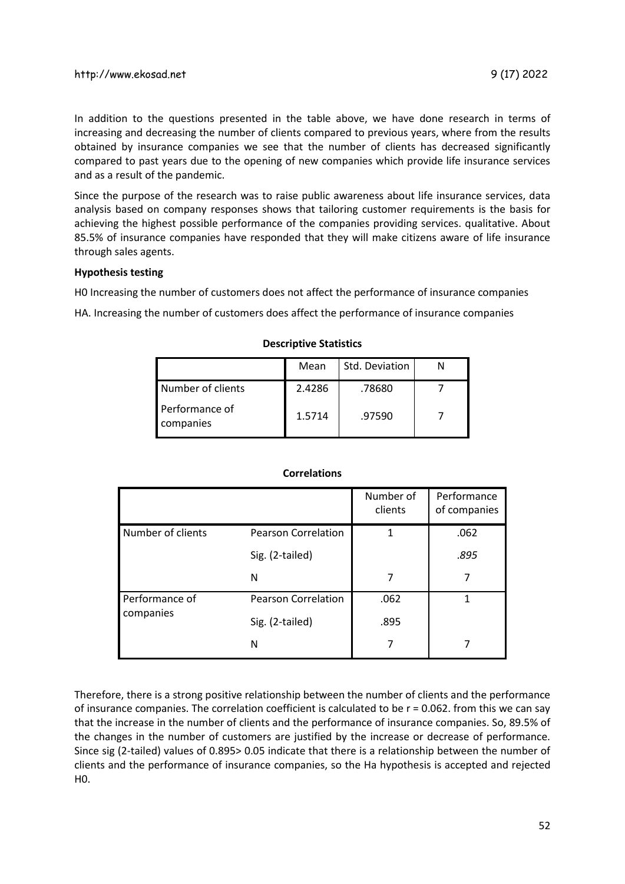In addition to the questions presented in the table above, we have done research in terms of increasing and decreasing the number of clients compared to previous years, where from the results obtained by insurance companies we see that the number of clients has decreased significantly compared to past years due to the opening of new companies which provide life insurance services and as a result of the pandemic.

Since the purpose of the research was to raise public awareness about life insurance services, data analysis based on company responses shows that tailoring customer requirements is the basis for achieving the highest possible performance of the companies providing services. qualitative. About 85.5% of insurance companies have responded that they will make citizens aware of life insurance through sales agents.

#### **Hypothesis testing**

H0 Increasing the number of customers does not affect the performance of insurance companies

HA. Increasing the number of customers does affect the performance of insurance companies

|                             | Mean   | Std. Deviation |  |
|-----------------------------|--------|----------------|--|
| Number of clients           | 2.4286 | .78680         |  |
| Performance of<br>companies | 1.5714 | .97590         |  |

#### **Descriptive Statistics**

#### **Correlations**

|                             |                            | Number of<br>clients | Performance<br>of companies |
|-----------------------------|----------------------------|----------------------|-----------------------------|
| Number of clients           | <b>Pearson Correlation</b> |                      | .062                        |
|                             | Sig. (2-tailed)            |                      | .895                        |
|                             | N                          | 7                    | 7                           |
| Performance of<br>companies | <b>Pearson Correlation</b> | .062                 | 1                           |
|                             | Sig. (2-tailed)            | .895                 |                             |
|                             | N                          |                      |                             |

Therefore, there is a strong positive relationship between the number of clients and the performance of insurance companies. The correlation coefficient is calculated to be r = 0.062. from this we can say that the increase in the number of clients and the performance of insurance companies. So, 89.5% of the changes in the number of customers are justified by the increase or decrease of performance. Since sig (2-tailed) values of 0.895> 0.05 indicate that there is a relationship between the number of clients and the performance of insurance companies, so the Ha hypothesis is accepted and rejected H0.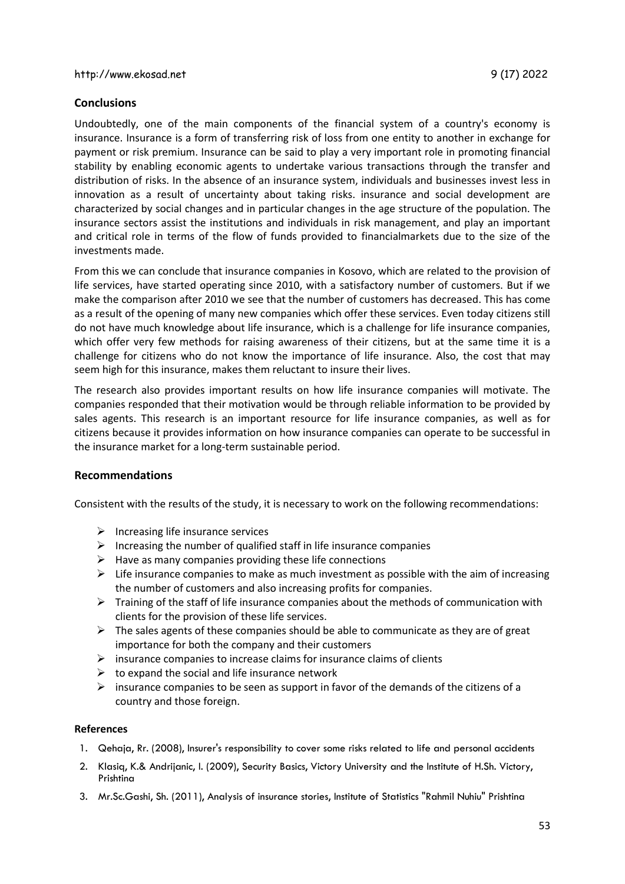# **Conclusions**

Undoubtedly, one of the main components of the financial system of a country's economy is insurance. Insurance is a form of transferring risk of loss from one entity to another in exchange for payment or risk premium. Insurance can be said to play a very important role in promoting financial stability by enabling economic agents to undertake various transactions through the transfer and distribution of risks. In the absence of an insurance system, individuals and businesses invest less in innovation as a result of uncertainty about taking risks. insurance and social development are characterized by social changes and in particular changes in the age structure of the population. The insurance sectors assist the institutions and individuals in risk management, and play an important and critical role in terms of the flow of funds provided to financialmarkets due to the size of the investments made.

From this we can conclude that insurance companies in Kosovo, which are related to the provision of life services, have started operating since 2010, with a satisfactory number of customers. But if we make the comparison after 2010 we see that the number of customers has decreased. This has come as a result of the opening of many new companies which offer these services. Even today citizens still do not have much knowledge about life insurance, which is a challenge for life insurance companies, which offer very few methods for raising awareness of their citizens, but at the same time it is a challenge for citizens who do not know the importance of life insurance. Also, the cost that may seem high for this insurance, makes them reluctant to insure their lives.

The research also provides important results on how life insurance companies will motivate. The companies responded that their motivation would be through reliable information to be provided by sales agents. This research is an important resource for life insurance companies, as well as for citizens because it provides information on how insurance companies can operate to be successful in the insurance market for a long-term sustainable period.

#### **Recommendations**

Consistent with the results of the study, it is necessary to work on the following recommendations:

- $\triangleright$  Increasing life insurance services
- $\triangleright$  Increasing the number of qualified staff in life insurance companies
- $\triangleright$  Have as many companies providing these life connections
- $\triangleright$  Life insurance companies to make as much investment as possible with the aim of increasing the number of customers and also increasing profits for companies.
- $\triangleright$  Training of the staff of life insurance companies about the methods of communication with clients for the provision of these life services.
- $\triangleright$  The sales agents of these companies should be able to communicate as they are of great importance for both the company and their customers
- $\triangleright$  insurance companies to increase claims for insurance claims of clients
- $\triangleright$  to expand the social and life insurance network
- $\triangleright$  insurance companies to be seen as support in favor of the demands of the citizens of a country and those foreign.

#### **References**

- 1. Qehaja, Rr. (2008), Insurer's responsibility to cover some risks related to life and personal accidents
- 2. Klasiq, K.& Andrijanic, I. (2009), Security Basics, Victory University and the Institute of H.Sh. Victory, Prishtina
- 3. Mr.Sc.Gashi, Sh. (2011), Analysis of insurance stories, Institute of Statistics "Rahmil Nuhiu" Prishtina